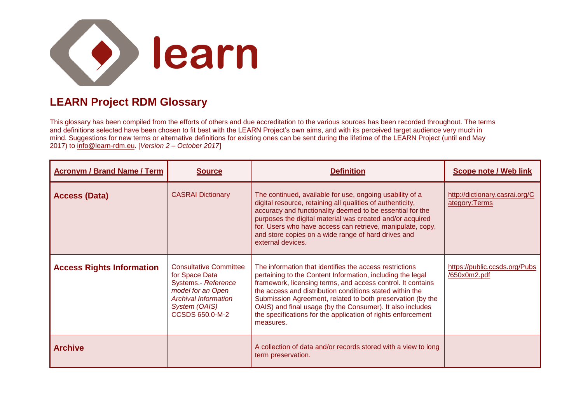

## **LEARN Project RDM Glossary**

This glossary has been compiled from the efforts of others and due accreditation to the various sources has been recorded throughout. The terms and definitions selected have been chosen to fit best with the LEARN Project's own aims, and with its perceived target audience very much in mind. Suggestions for new terms or alternative definitions for existing ones can be sent during the lifetime of the LEARN Project (until end May 2017) to [info@learn-rdm.eu.](mailto:info@learn-rdm.eu) [*Version 2 – October 2017*]

| <b>Acronym / Brand Name / Term</b> | <b>Source</b>                                                                                                                                                  | <b>Definition</b>                                                                                                                                                                                                                                                                                                                                                                                                                                        | Scope note / Web link                           |
|------------------------------------|----------------------------------------------------------------------------------------------------------------------------------------------------------------|----------------------------------------------------------------------------------------------------------------------------------------------------------------------------------------------------------------------------------------------------------------------------------------------------------------------------------------------------------------------------------------------------------------------------------------------------------|-------------------------------------------------|
| <b>Access (Data)</b>               | <b>CASRAI Dictionary</b>                                                                                                                                       | The continued, available for use, ongoing usability of a<br>digital resource, retaining all qualities of authenticity,<br>accuracy and functionality deemed to be essential for the<br>purposes the digital material was created and/or acquired<br>for. Users who have access can retrieve, manipulate, copy,<br>and store copies on a wide range of hard drives and<br>external devices.                                                               | http://dictionary.casrai.org/C<br>ategory:Terms |
| <b>Access Rights Information</b>   | <b>Consultative Committee</b><br>for Space Data<br>Systems.- Reference<br>model for an Open<br><b>Archival Information</b><br>System (OAIS)<br>CCSDS 650.0-M-2 | The information that identifies the access restrictions<br>pertaining to the Content Information, including the legal<br>framework, licensing terms, and access control. It contains<br>the access and distribution conditions stated within the<br>Submission Agreement, related to both preservation (by the<br>OAIS) and final usage (by the Consumer). It also includes<br>the specifications for the application of rights enforcement<br>measures. | https://public.ccsds.org/Pubs<br>/650x0m2.pdf   |
| <b>Archive</b>                     |                                                                                                                                                                | A collection of data and/or records stored with a view to long<br>term preservation.                                                                                                                                                                                                                                                                                                                                                                     |                                                 |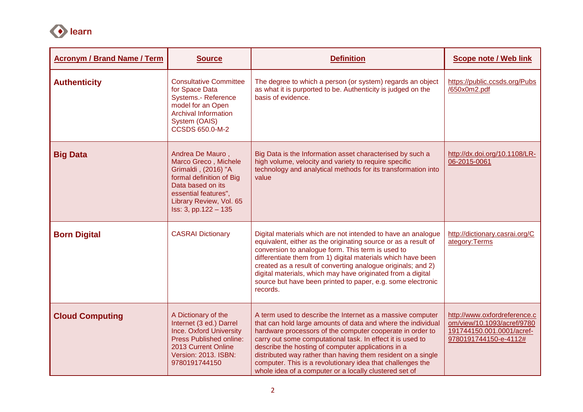

| <b>Acronym / Brand Name / Term</b> | <b>Source</b>                                                                                                                                                                               | <b>Definition</b>                                                                                                                                                                                                                                                                                                                                                                                                                                                                                   | <b>Scope note / Web link</b>                                                                                     |
|------------------------------------|---------------------------------------------------------------------------------------------------------------------------------------------------------------------------------------------|-----------------------------------------------------------------------------------------------------------------------------------------------------------------------------------------------------------------------------------------------------------------------------------------------------------------------------------------------------------------------------------------------------------------------------------------------------------------------------------------------------|------------------------------------------------------------------------------------------------------------------|
| <b>Authenticity</b>                | <b>Consultative Committee</b><br>for Space Data<br><b>Systems.- Reference</b><br>model for an Open<br><b>Archival Information</b><br>System (OAIS)<br>CCSDS 650.0-M-2                       | The degree to which a person (or system) regards an object<br>as what it is purported to be. Authenticity is judged on the<br>basis of evidence.                                                                                                                                                                                                                                                                                                                                                    | https://public.ccsds.org/Pubs<br>/650x0m2.pdf                                                                    |
| <b>Big Data</b>                    | Andrea De Mauro,<br>Marco Greco, Michele<br>Grimaldi, (2016) "A<br>formal definition of Big<br>Data based on its<br>essential features",<br>Library Review, Vol. 65<br>Iss: 3, pp.122 - 135 | Big Data is the Information asset characterised by such a<br>high volume, velocity and variety to require specific<br>technology and analytical methods for its transformation into<br>value                                                                                                                                                                                                                                                                                                        | http://dx.doi.org/10.1108/LR-<br>06-2015-0061                                                                    |
| <b>Born Digital</b>                | <b>CASRAI Dictionary</b>                                                                                                                                                                    | Digital materials which are not intended to have an analogue<br>equivalent, either as the originating source or as a result of<br>conversion to analogue form. This term is used to<br>differentiate them from 1) digital materials which have been<br>created as a result of converting analogue originals; and 2)<br>digital materials, which may have originated from a digital<br>source but have been printed to paper, e.g. some electronic<br>records.                                       | http://dictionary.casrai.org/C<br>ategory: Terms                                                                 |
| <b>Cloud Computing</b>             | A Dictionary of the<br>Internet (3 ed.) Darrel<br><b>Ince. Oxford University</b><br><b>Press Published online:</b><br>2013 Current Online<br><b>Version: 2013. ISBN:</b><br>9780191744150   | A term used to describe the Internet as a massive computer<br>that can hold large amounts of data and where the individual<br>hardware processors of the computer cooperate in order to<br>carry out some computational task. In effect it is used to<br>describe the hosting of computer applications in a<br>distributed way rather than having them resident on a single<br>computer. This is a revolutionary idea that challenges the<br>whole idea of a computer or a locally clustered set of | http://www.oxfordreference.c<br>om/view/10.1093/acref/9780<br>191744150.001.0001/acref-<br>9780191744150-e-4112# |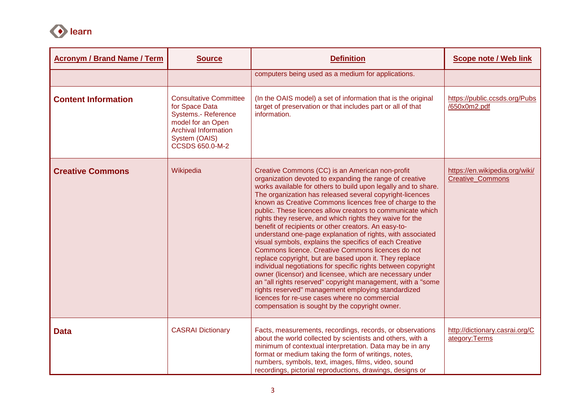

| <b>Acronym / Brand Name / Term</b> | <b>Source</b>                                                                                                                                                         | <b>Definition</b>                                                                                                                                                                                                                                                                                                                                                                                                                                                                                                                                                                                                                                                                                                                                                                                                                                                                                                                                                                                                                                                                   | <b>Scope note / Web link</b>                              |
|------------------------------------|-----------------------------------------------------------------------------------------------------------------------------------------------------------------------|-------------------------------------------------------------------------------------------------------------------------------------------------------------------------------------------------------------------------------------------------------------------------------------------------------------------------------------------------------------------------------------------------------------------------------------------------------------------------------------------------------------------------------------------------------------------------------------------------------------------------------------------------------------------------------------------------------------------------------------------------------------------------------------------------------------------------------------------------------------------------------------------------------------------------------------------------------------------------------------------------------------------------------------------------------------------------------------|-----------------------------------------------------------|
|                                    |                                                                                                                                                                       | computers being used as a medium for applications.                                                                                                                                                                                                                                                                                                                                                                                                                                                                                                                                                                                                                                                                                                                                                                                                                                                                                                                                                                                                                                  |                                                           |
| <b>Content Information</b>         | <b>Consultative Committee</b><br>for Space Data<br><b>Systems.- Reference</b><br>model for an Open<br><b>Archival Information</b><br>System (OAIS)<br>CCSDS 650.0-M-2 | (In the OAIS model) a set of information that is the original<br>target of preservation or that includes part or all of that<br>information.                                                                                                                                                                                                                                                                                                                                                                                                                                                                                                                                                                                                                                                                                                                                                                                                                                                                                                                                        | https://public.ccsds.org/Pubs<br>/650x0m2.pdf             |
| <b>Creative Commons</b>            | Wikipedia                                                                                                                                                             | Creative Commons (CC) is an American non-profit<br>organization devoted to expanding the range of creative<br>works available for others to build upon legally and to share.<br>The organization has released several copyright-licences<br>known as Creative Commons licences free of charge to the<br>public. These licences allow creators to communicate which<br>rights they reserve, and which rights they waive for the<br>benefit of recipients or other creators. An easy-to-<br>understand one-page explanation of rights, with associated<br>visual symbols, explains the specifics of each Creative<br>Commons licence. Creative Commons licences do not<br>replace copyright, but are based upon it. They replace<br>individual negotiations for specific rights between copyright<br>owner (licensor) and licensee, which are necessary under<br>an "all rights reserved" copyright management, with a "some<br>rights reserved" management employing standardized<br>licences for re-use cases where no commercial<br>compensation is sought by the copyright owner. | https://en.wikipedia.org/wiki/<br><b>Creative Commons</b> |
| <b>Data</b>                        | <b>CASRAI Dictionary</b>                                                                                                                                              | Facts, measurements, recordings, records, or observations<br>about the world collected by scientists and others, with a<br>minimum of contextual interpretation. Data may be in any<br>format or medium taking the form of writings, notes,<br>numbers, symbols, text, images, films, video, sound<br>recordings, pictorial reproductions, drawings, designs or                                                                                                                                                                                                                                                                                                                                                                                                                                                                                                                                                                                                                                                                                                                     | http://dictionary.casrai.org/C<br>ategory:Terms           |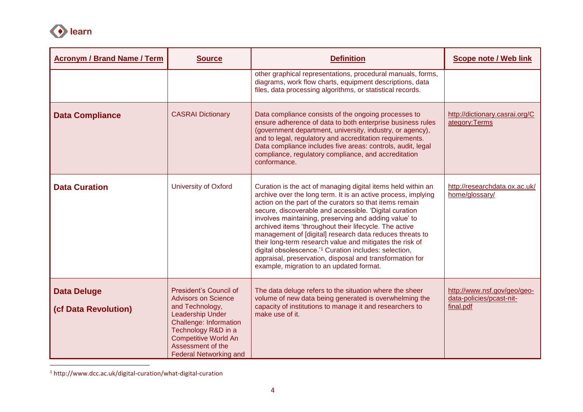

 $\overline{a}$ 

| <b>Acronym / Brand Name / Term</b>         | <b>Source</b>                                                                                                                                                                                                                                   | <b>Definition</b>                                                                                                                                                                                                                                                                                                                                                                                                                                                                                                                                                                                                                                                          | <b>Scope note / Web link</b>                                         |
|--------------------------------------------|-------------------------------------------------------------------------------------------------------------------------------------------------------------------------------------------------------------------------------------------------|----------------------------------------------------------------------------------------------------------------------------------------------------------------------------------------------------------------------------------------------------------------------------------------------------------------------------------------------------------------------------------------------------------------------------------------------------------------------------------------------------------------------------------------------------------------------------------------------------------------------------------------------------------------------------|----------------------------------------------------------------------|
|                                            |                                                                                                                                                                                                                                                 | other graphical representations, procedural manuals, forms,<br>diagrams, work flow charts, equipment descriptions, data<br>files, data processing algorithms, or statistical records.                                                                                                                                                                                                                                                                                                                                                                                                                                                                                      |                                                                      |
| <b>Data Compliance</b>                     | <b>CASRAI Dictionary</b>                                                                                                                                                                                                                        | Data compliance consists of the ongoing processes to<br>ensure adherence of data to both enterprise business rules<br>(government department, university, industry, or agency),<br>and to legal, regulatory and accreditation requirements.<br>Data compliance includes five areas: controls, audit, legal<br>compliance, regulatory compliance, and accreditation<br>conformance.                                                                                                                                                                                                                                                                                         | http://dictionary.casrai.org/C<br>ategory:Terms                      |
| <b>Data Curation</b>                       | <b>University of Oxford</b>                                                                                                                                                                                                                     | Curation is the act of managing digital items held within an<br>archive over the long term. It is an active process, implying<br>action on the part of the curators so that items remain<br>secure, discoverable and accessible. 'Digital curation<br>involves maintaining, preserving and adding value' to<br>archived items 'throughout their lifecycle. The active<br>management of [digital] research data reduces threats to<br>their long-term research value and mitigates the risk of<br>digital obsolescence. <sup>11</sup> Curation includes: selection,<br>appraisal, preservation, disposal and transformation for<br>example, migration to an updated format. | http://researchdata.ox.ac.uk/<br>home/glossary/                      |
| <b>Data Deluge</b><br>(cf Data Revolution) | <b>President's Council of</b><br><b>Advisors on Science</b><br>and Technology,<br><b>Leadership Under</b><br>Challenge: Information<br>Technology R&D in a<br><b>Competitive World An</b><br>Assessment of the<br><b>Federal Networking and</b> | The data deluge refers to the situation where the sheer<br>volume of new data being generated is overwhelming the<br>capacity of institutions to manage it and researchers to<br>make use of it.                                                                                                                                                                                                                                                                                                                                                                                                                                                                           | http://www.nsf.gov/geo/geo-<br>data-policies/pcast-nit-<br>final.pdf |

<sup>1</sup> http://www.dcc.ac.uk/digital-curation/what-digital-curation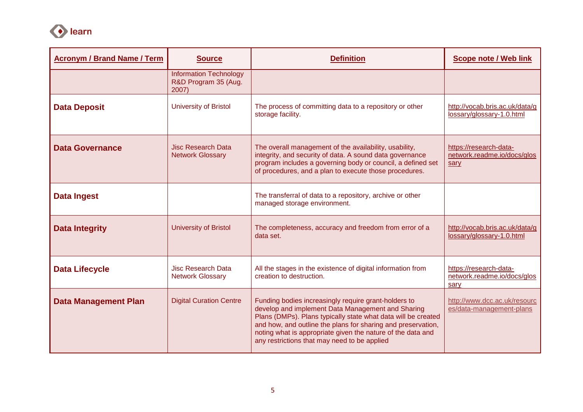

| <b>Acronym / Brand Name / Term</b> | <b>Source</b>                                                  | <b>Definition</b>                                                                                                                                                                                                                                                                                                                                         | <b>Scope note / Web link</b>                                  |
|------------------------------------|----------------------------------------------------------------|-----------------------------------------------------------------------------------------------------------------------------------------------------------------------------------------------------------------------------------------------------------------------------------------------------------------------------------------------------------|---------------------------------------------------------------|
|                                    | <b>Information Technology</b><br>R&D Program 35 (Aug.<br>2007) |                                                                                                                                                                                                                                                                                                                                                           |                                                               |
| <b>Data Deposit</b>                | <b>University of Bristol</b>                                   | The process of committing data to a repository or other<br>storage facility.                                                                                                                                                                                                                                                                              | http://vocab.bris.ac.uk/data/g<br>lossary/glossary-1.0.html   |
| <b>Data Governance</b>             | <b>Jisc Research Data</b><br><b>Network Glossary</b>           | The overall management of the availability, usability,<br>integrity, and security of data. A sound data governance<br>program includes a governing body or council, a defined set<br>of procedures, and a plan to execute those procedures.                                                                                                               | https://research-data-<br>network.readme.io/docs/glos<br>sary |
| <b>Data Ingest</b>                 |                                                                | The transferral of data to a repository, archive or other<br>managed storage environment.                                                                                                                                                                                                                                                                 |                                                               |
| <b>Data Integrity</b>              | <b>University of Bristol</b>                                   | The completeness, accuracy and freedom from error of a<br>data set.                                                                                                                                                                                                                                                                                       | http://vocab.bris.ac.uk/data/g<br>lossary/glossary-1.0.html   |
| <b>Data Lifecycle</b>              | <b>Jisc Research Data</b><br><b>Network Glossary</b>           | All the stages in the existence of digital information from<br>creation to destruction.                                                                                                                                                                                                                                                                   | https://research-data-<br>network.readme.io/docs/glos<br>sary |
| <b>Data Management Plan</b>        | <b>Digital Curation Centre</b>                                 | Funding bodies increasingly require grant-holders to<br>develop and implement Data Management and Sharing<br>Plans (DMPs). Plans typically state what data will be created<br>and how, and outline the plans for sharing and preservation,<br>noting what is appropriate given the nature of the data and<br>any restrictions that may need to be applied | http://www.dcc.ac.uk/resourc<br>es/data-management-plans      |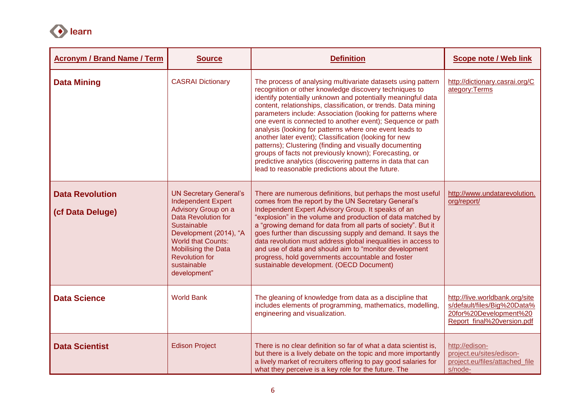

| <b>Acronym / Brand Name / Term</b>         | <b>Source</b>                                                                                                                                                                                                                                                        | <b>Definition</b>                                                                                                                                                                                                                                                                                                                                                                                                                                                                                                                                                                                                                                                                                                                                 | <b>Scope note / Web link</b>                                                                                          |
|--------------------------------------------|----------------------------------------------------------------------------------------------------------------------------------------------------------------------------------------------------------------------------------------------------------------------|---------------------------------------------------------------------------------------------------------------------------------------------------------------------------------------------------------------------------------------------------------------------------------------------------------------------------------------------------------------------------------------------------------------------------------------------------------------------------------------------------------------------------------------------------------------------------------------------------------------------------------------------------------------------------------------------------------------------------------------------------|-----------------------------------------------------------------------------------------------------------------------|
| <b>Data Mining</b>                         | <b>CASRAI Dictionary</b>                                                                                                                                                                                                                                             | The process of analysing multivariate datasets using pattern<br>recognition or other knowledge discovery techniques to<br>identify potentially unknown and potentially meaningful data<br>content, relationships, classification, or trends. Data mining<br>parameters include: Association (looking for patterns where<br>one event is connected to another event); Sequence or path<br>analysis (looking for patterns where one event leads to<br>another later event); Classification (looking for new<br>patterns); Clustering (finding and visually documenting<br>groups of facts not previously known); Forecasting, or<br>predictive analytics (discovering patterns in data that can<br>lead to reasonable predictions about the future. | http://dictionary.casrai.org/C<br>ategory:Terms                                                                       |
| <b>Data Revolution</b><br>(cf Data Deluge) | <b>UN Secretary General's</b><br><b>Independent Expert</b><br>Advisory Group on a<br>Data Revolution for<br><b>Sustainable</b><br>Development (2014), "A<br><b>World that Counts:</b><br>Mobilising the Data<br><b>Revolution for</b><br>sustainable<br>development" | There are numerous definitions, but perhaps the most useful<br>comes from the report by the UN Secretary General's<br>Independent Expert Advisory Group. It speaks of an<br>"explosion" in the volume and production of data matched by<br>a "growing demand for data from all parts of society". But it<br>goes further than discussing supply and demand. It says the<br>data revolution must address global inequalities in access to<br>and use of data and should aim to "monitor development<br>progress, hold governments accountable and foster<br>sustainable development. (OECD Document)                                                                                                                                               | http://www.undatarevolution.<br>org/report/                                                                           |
| <b>Data Science</b>                        | <b>World Bank</b>                                                                                                                                                                                                                                                    | The gleaning of knowledge from data as a discipline that<br>includes elements of programming, mathematics, modelling,<br>engineering and visualization.                                                                                                                                                                                                                                                                                                                                                                                                                                                                                                                                                                                           | http://live.worldbank.org/site<br>s/default/files/Big%20Data%<br>20for%20Development%20<br>Report final%20version.pdf |
| <b>Data Scientist</b>                      | <b>Edison Project</b>                                                                                                                                                                                                                                                | There is no clear definition so far of what a data scientist is,<br>but there is a lively debate on the topic and more importantly<br>a lively market of recruiters offering to pay good salaries for<br>what they perceive is a key role for the future. The                                                                                                                                                                                                                                                                                                                                                                                                                                                                                     | http://edison-<br>project.eu/sites/edison-<br>project.eu/files/attached file<br>s/node-                               |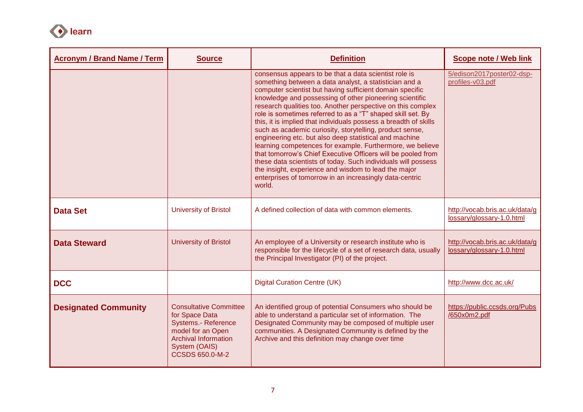

| <b>Acronym / Brand Name / Term</b> | <b>Source</b>                                                                                                                                                         | <b>Definition</b>                                                                                                                                                                                                                                                                                                                                                                                                                                                                                                                                                                                                                                                                                                                                                                                                                                                                         | <b>Scope note / Web link</b>                                |
|------------------------------------|-----------------------------------------------------------------------------------------------------------------------------------------------------------------------|-------------------------------------------------------------------------------------------------------------------------------------------------------------------------------------------------------------------------------------------------------------------------------------------------------------------------------------------------------------------------------------------------------------------------------------------------------------------------------------------------------------------------------------------------------------------------------------------------------------------------------------------------------------------------------------------------------------------------------------------------------------------------------------------------------------------------------------------------------------------------------------------|-------------------------------------------------------------|
|                                    |                                                                                                                                                                       | consensus appears to be that a data scientist role is<br>something between a data analyst, a statistician and a<br>computer scientist but having sufficient domain specific<br>knowledge and possessing of other pioneering scientific<br>research qualities too. Another perspective on this complex<br>role is sometimes referred to as a "T" shaped skill set. By<br>this, it is implied that individuals possess a breadth of skills<br>such as academic curiosity, storytelling, product sense,<br>engineering etc. but also deep statistical and machine<br>learning competences for example. Furthermore, we believe<br>that tomorrow's Chief Executive Officers will be pooled from<br>these data scientists of today. Such individuals will possess<br>the insight, experience and wisdom to lead the major<br>enterprises of tomorrow in an increasingly data-centric<br>world. | 5/edison2017poster02-dsp-<br>profiles-v03.pdf               |
| <b>Data Set</b>                    | <b>University of Bristol</b>                                                                                                                                          | A defined collection of data with common elements.                                                                                                                                                                                                                                                                                                                                                                                                                                                                                                                                                                                                                                                                                                                                                                                                                                        | http://vocab.bris.ac.uk/data/g<br>lossary/glossary-1.0.html |
| <b>Data Steward</b>                | <b>University of Bristol</b>                                                                                                                                          | An employee of a University or research institute who is<br>responsible for the lifecycle of a set of research data, usually<br>the Principal Investigator (PI) of the project.                                                                                                                                                                                                                                                                                                                                                                                                                                                                                                                                                                                                                                                                                                           | http://vocab.bris.ac.uk/data/g<br>lossary/glossary-1.0.html |
| <b>DCC</b>                         |                                                                                                                                                                       | <b>Digital Curation Centre (UK)</b>                                                                                                                                                                                                                                                                                                                                                                                                                                                                                                                                                                                                                                                                                                                                                                                                                                                       | http://www.dcc.ac.uk/                                       |
| <b>Designated Community</b>        | <b>Consultative Committee</b><br>for Space Data<br>Systems.- Reference<br>model for an Open<br><b>Archival Information</b><br>System (OAIS)<br><b>CCSDS 650.0-M-2</b> | An identified group of potential Consumers who should be<br>able to understand a particular set of information. The<br>Designated Community may be composed of multiple user<br>communities. A Designated Community is defined by the<br>Archive and this definition may change over time                                                                                                                                                                                                                                                                                                                                                                                                                                                                                                                                                                                                 | https://public.ccsds.org/Pubs<br>/650x0m2.pdf               |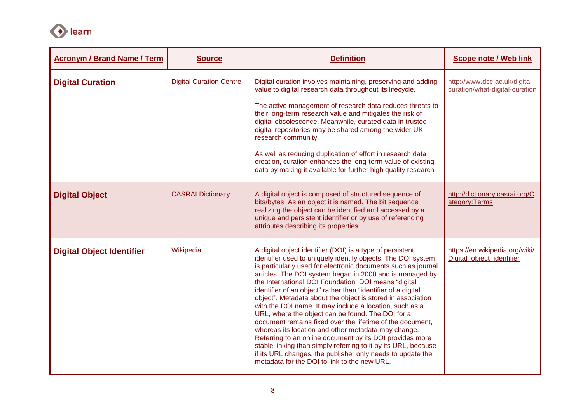

| <b>Acronym / Brand Name / Term</b> | <b>Source</b>                  | <b>Definition</b>                                                                                                                                                                                                                                                                                                                                                                                                                                                                                                                                                                                                                                                                                                                                                                                                                                                                                                              | <b>Scope note / Web link</b>                                    |
|------------------------------------|--------------------------------|--------------------------------------------------------------------------------------------------------------------------------------------------------------------------------------------------------------------------------------------------------------------------------------------------------------------------------------------------------------------------------------------------------------------------------------------------------------------------------------------------------------------------------------------------------------------------------------------------------------------------------------------------------------------------------------------------------------------------------------------------------------------------------------------------------------------------------------------------------------------------------------------------------------------------------|-----------------------------------------------------------------|
| <b>Digital Curation</b>            | <b>Digital Curation Centre</b> | Digital curation involves maintaining, preserving and adding<br>value to digital research data throughout its lifecycle.<br>The active management of research data reduces threats to<br>their long-term research value and mitigates the risk of<br>digital obsolescence. Meanwhile, curated data in trusted<br>digital repositories may be shared among the wider UK<br>research community.<br>As well as reducing duplication of effort in research data<br>creation, curation enhances the long-term value of existing<br>data by making it available for further high quality research                                                                                                                                                                                                                                                                                                                                    | http://www.dcc.ac.uk/digital-<br>curation/what-digital-curation |
| <b>Digital Object</b>              | <b>CASRAI Dictionary</b>       | A digital object is composed of structured sequence of<br>bits/bytes. As an object it is named. The bit sequence<br>realizing the object can be identified and accessed by a<br>unique and persistent identifier or by use of referencing<br>attributes describing its properties.                                                                                                                                                                                                                                                                                                                                                                                                                                                                                                                                                                                                                                             | http://dictionary.casrai.org/C<br>ategory:Terms                 |
| <b>Digital Object Identifier</b>   | Wikipedia                      | A digital object identifier (DOI) is a type of persistent<br>identifier used to uniquely identify objects. The DOI system<br>is particularly used for electronic documents such as journal<br>articles. The DOI system began in 2000 and is managed by<br>the International DOI Foundation. DOI means "digital<br>identifier of an object" rather than "identifier of a digital<br>object". Metadata about the object is stored in association<br>with the DOI name. It may include a location, such as a<br>URL, where the object can be found. The DOI for a<br>document remains fixed over the lifetime of the document,<br>whereas its location and other metadata may change.<br>Referring to an online document by its DOI provides more<br>stable linking than simply referring to it by its URL, because<br>if its URL changes, the publisher only needs to update the<br>metadata for the DOI to link to the new URL. | https://en.wikipedia.org/wiki/<br>Digital_object_identifier     |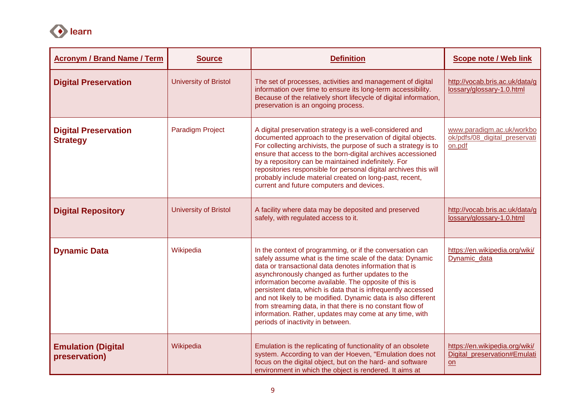

| <b>Acronym / Brand Name / Term</b>             | <b>Source</b>                | <b>Definition</b>                                                                                                                                                                                                                                                                                                                                                                                                                                                                                                                                                                           | <b>Scope note / Web link</b>                                         |
|------------------------------------------------|------------------------------|---------------------------------------------------------------------------------------------------------------------------------------------------------------------------------------------------------------------------------------------------------------------------------------------------------------------------------------------------------------------------------------------------------------------------------------------------------------------------------------------------------------------------------------------------------------------------------------------|----------------------------------------------------------------------|
| <b>Digital Preservation</b>                    | <b>University of Bristol</b> | The set of processes, activities and management of digital<br>information over time to ensure its long-term accessibility.<br>Because of the relatively short lifecycle of digital information,<br>preservation is an ongoing process.                                                                                                                                                                                                                                                                                                                                                      | http://vocab.bris.ac.uk/data/g<br>lossary/glossary-1.0.html          |
| <b>Digital Preservation</b><br><b>Strategy</b> | <b>Paradigm Project</b>      | A digital preservation strategy is a well-considered and<br>documented approach to the preservation of digital objects.<br>For collecting archivists, the purpose of such a strategy is to<br>ensure that access to the born-digital archives accessioned<br>by a repository can be maintained indefinitely. For<br>repositories responsible for personal digital archives this will<br>probably include material created on long-past, recent,<br>current and future computers and devices.                                                                                                | www.paradigm.ac.uk/workbo<br>ok/pdfs/08_digital_preservati<br>on.pdf |
| <b>Digital Repository</b>                      | <b>University of Bristol</b> | A facility where data may be deposited and preserved<br>safely, with regulated access to it.                                                                                                                                                                                                                                                                                                                                                                                                                                                                                                | http://vocab.bris.ac.uk/data/g<br>lossary/glossary-1.0.html          |
| <b>Dynamic Data</b>                            | Wikipedia                    | In the context of programming, or if the conversation can<br>safely assume what is the time scale of the data: Dynamic<br>data or transactional data denotes information that is<br>asynchronously changed as further updates to the<br>information become available. The opposite of this is<br>persistent data, which is data that is infrequently accessed<br>and not likely to be modified. Dynamic data is also different<br>from streaming data, in that there is no constant flow of<br>information. Rather, updates may come at any time, with<br>periods of inactivity in between. | https://en.wikipedia.org/wiki/<br>Dynamic data                       |
| <b>Emulation (Digital</b><br>preservation)     | Wikipedia                    | Emulation is the replicating of functionality of an obsolete<br>system. According to van der Hoeven, "Emulation does not<br>focus on the digital object, but on the hard- and software<br>environment in which the object is rendered. It aims at                                                                                                                                                                                                                                                                                                                                           | https://en.wikipedia.org/wiki/<br>Digital preservation#Emulati<br>on |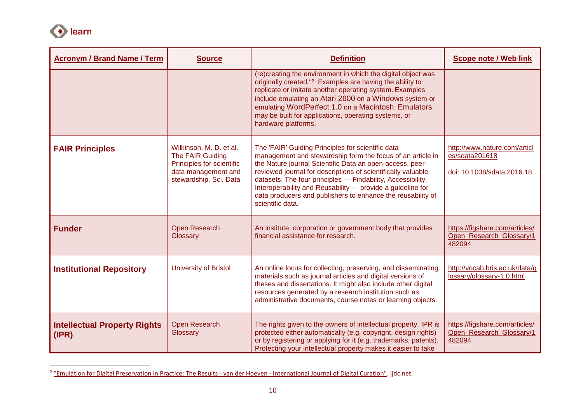

| <b>Acronym / Brand Name / Term</b>           | <b>Source</b>                                                                                                             | <b>Definition</b>                                                                                                                                                                                                                                                                                                                                                                                                                                           | <b>Scope note / Web link</b>                                                 |
|----------------------------------------------|---------------------------------------------------------------------------------------------------------------------------|-------------------------------------------------------------------------------------------------------------------------------------------------------------------------------------------------------------------------------------------------------------------------------------------------------------------------------------------------------------------------------------------------------------------------------------------------------------|------------------------------------------------------------------------------|
|                                              |                                                                                                                           | (re)creating the environment in which the digital object was<br>originally created." <sup>2</sup> Examples are having the ability to<br>replicate or imitate another operating system. Examples<br>include emulating an Atari 2600 on a Windows system or<br>emulating WordPerfect 1.0 on a Macintosh. Emulators<br>may be built for applications, operating systems, or<br>hardware platforms.                                                             |                                                                              |
| <b>FAIR Principles</b>                       | Wilkinson, M. D. et al.<br>The FAIR Guiding<br>Principles for scientific<br>data management and<br>stewardship. Sci. Data | The 'FAIR' Guiding Principles for scientific data<br>management and stewardship form the focus of an article in<br>the Nature journal Scientific Data an open-access, peer-<br>reviewed journal for descriptions of scientifically valuable<br>datasets. The four principles - Findability, Accessibility,<br>Interoperability and Reusability - provide a guideline for<br>data producers and publishers to enhance the reusability of<br>scientific data. | http://www.nature.com/articl<br>es/sdata201618<br>doi: 10.1038/sdata.2016.18 |
| <b>Funder</b>                                | <b>Open Research</b><br>Glossary                                                                                          | An institute, corporation or government body that provides<br>financial assistance for research.                                                                                                                                                                                                                                                                                                                                                            | https://figshare.com/articles/<br>Open_Research_Glossary/1<br>482094         |
| <b>Institutional Repository</b>              | <b>University of Bristol</b>                                                                                              | An online locus for collecting, preserving, and disseminating<br>materials such as journal articles and digital versions of<br>theses and dissertations. It might also include other digital<br>resources generated by a research institution such as<br>administrative documents, course notes or learning objects.                                                                                                                                        | http://vocab.bris.ac.uk/data/g<br>lossary/glossary-1.0.html                  |
| <b>Intellectual Property Rights</b><br>(IPR) | Open Research<br>Glossary                                                                                                 | The rights given to the owners of intellectual property. IPR is<br>protected either automatically (e.g. copyright, design rights)<br>or by registering or applying for it (e.g. trademarks, patents).<br>Protecting your intellectual property makes it easier to take                                                                                                                                                                                      | https://figshare.com/articles/<br>Open Research Glossary/1<br>482094         |

 2 ["Emulation for Digital Preservation in Practice: The Results -](http://www.ijdc.net/index.php/ijdc/article/view/50/35) van der Hoeven - International Journal of Digital Curation". ijdc.net.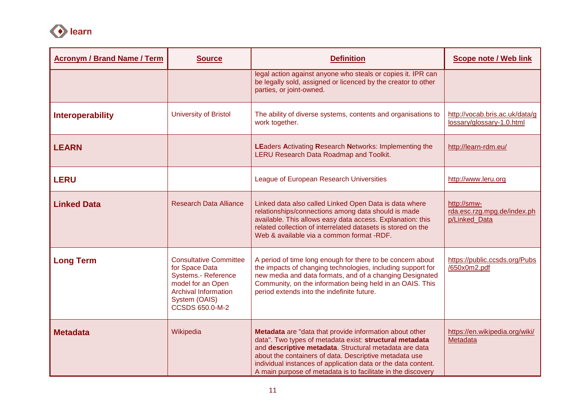

| <b>Acronym / Brand Name / Term</b> | <b>Source</b>                                                                                                                                                                | <b>Definition</b>                                                                                                                                                                                                                                                                                                                                                       | <b>Scope note / Web link</b>                                |
|------------------------------------|------------------------------------------------------------------------------------------------------------------------------------------------------------------------------|-------------------------------------------------------------------------------------------------------------------------------------------------------------------------------------------------------------------------------------------------------------------------------------------------------------------------------------------------------------------------|-------------------------------------------------------------|
|                                    |                                                                                                                                                                              | legal action against anyone who steals or copies it. IPR can<br>be legally sold, assigned or licenced by the creator to other<br>parties, or joint-owned.                                                                                                                                                                                                               |                                                             |
| <b>Interoperability</b>            | <b>University of Bristol</b>                                                                                                                                                 | The ability of diverse systems, contents and organisations to<br>work together.                                                                                                                                                                                                                                                                                         | http://vocab.bris.ac.uk/data/g<br>lossary/glossary-1.0.html |
| <b>LEARN</b>                       |                                                                                                                                                                              | <b>LEaders Activating Research Networks: Implementing the</b><br>LERU Research Data Roadmap and Toolkit.                                                                                                                                                                                                                                                                | http://learn-rdm.eu/                                        |
| <b>LERU</b>                        |                                                                                                                                                                              | League of European Research Universities                                                                                                                                                                                                                                                                                                                                | http://www.leru.org                                         |
| <b>Linked Data</b>                 | <b>Research Data Alliance</b>                                                                                                                                                | Linked data also called Linked Open Data is data where<br>relationships/connections among data should is made<br>available. This allows easy data access. Explanation: this<br>related collection of interrelated datasets is stored on the<br>Web & available via a common format -RDF.                                                                                | http://smw-<br>rda.esc.rzg.mpg.de/index.ph<br>p/Linked_Data |
| <b>Long Term</b>                   | <b>Consultative Committee</b><br>for Space Data<br><b>Systems.- Reference</b><br>model for an Open<br><b>Archival Information</b><br>System (OAIS)<br><b>CCSDS 650.0-M-2</b> | A period of time long enough for there to be concern about<br>the impacts of changing technologies, including support for<br>new media and data formats, and of a changing Designated<br>Community, on the information being held in an OAIS. This<br>period extends into the indefinite future.                                                                        | https://public.ccsds.org/Pubs<br>/650x0m2.pdf               |
| <b>Metadata</b>                    | Wikipedia                                                                                                                                                                    | Metadata are "data that provide information about other<br>data". Two types of metadata exist: structural metadata<br>and descriptive metadata. Structural metadata are data<br>about the containers of data. Descriptive metadata use<br>individual instances of application data or the data content.<br>A main purpose of metadata is to facilitate in the discovery | https://en.wikipedia.org/wiki/<br>Metadata                  |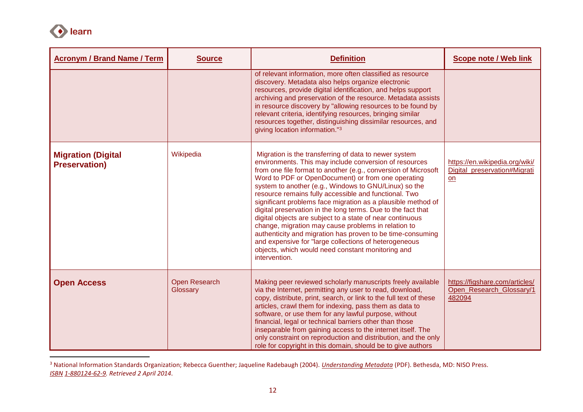

 $\overline{a}$ 

| <b>Acronym / Brand Name / Term</b>                | <b>Source</b>                    | <b>Definition</b>                                                                                                                                                                                                                                                                                                                                                                                                                                                                                                                                                                                                                                                                                                                                                                                          | <b>Scope note / Web link</b>                                         |
|---------------------------------------------------|----------------------------------|------------------------------------------------------------------------------------------------------------------------------------------------------------------------------------------------------------------------------------------------------------------------------------------------------------------------------------------------------------------------------------------------------------------------------------------------------------------------------------------------------------------------------------------------------------------------------------------------------------------------------------------------------------------------------------------------------------------------------------------------------------------------------------------------------------|----------------------------------------------------------------------|
|                                                   |                                  | of relevant information, more often classified as resource<br>discovery. Metadata also helps organize electronic<br>resources, provide digital identification, and helps support<br>archiving and preservation of the resource. Metadata assists<br>in resource discovery by "allowing resources to be found by<br>relevant criteria, identifying resources, bringing similar<br>resources together, distinguishing dissimilar resources, and<br>giving location information."3                                                                                                                                                                                                                                                                                                                            |                                                                      |
| <b>Migration (Digital</b><br><b>Preservation)</b> | Wikipedia                        | Migration is the transferring of data to newer system<br>environments. This may include conversion of resources<br>from one file format to another (e.g., conversion of Microsoft<br>Word to PDF or OpenDocument) or from one operating<br>system to another (e.g., Windows to GNU/Linux) so the<br>resource remains fully accessible and functional. Two<br>significant problems face migration as a plausible method of<br>digital preservation in the long terms. Due to the fact that<br>digital objects are subject to a state of near continuous<br>change, migration may cause problems in relation to<br>authenticity and migration has proven to be time-consuming<br>and expensive for "large collections of heterogeneous<br>objects, which would need constant monitoring and<br>intervention. | https://en.wikipedia.org/wiki/<br>Digital preservation#Migrati<br>on |
| <b>Open Access</b>                                | <b>Open Research</b><br>Glossary | Making peer reviewed scholarly manuscripts freely available<br>via the Internet, permitting any user to read, download,<br>copy, distribute, print, search, or link to the full text of these<br>articles, crawl them for indexing, pass them as data to<br>software, or use them for any lawful purpose, without<br>financial, legal or technical barriers other than those<br>inseparable from gaining access to the internet itself. The<br>only constraint on reproduction and distribution, and the only<br>role for copyright in this domain, should be to give authors                                                                                                                                                                                                                              | https://figshare.com/articles/<br>Open Research Glossary/1<br>482094 |

<sup>3</sup> National Information Standards Organization; Rebecca Guenther; Jaqueline Radebaugh (2004). *[Understanding Metadata](http://www.niso.org/publications/press/UnderstandingMetadata.pdf)* (PDF). Bethesda, MD: NISO Press. *[ISBN](https://en.wikipedia.org/wiki/International_Standard_Book_Number) [1-880124-62-9.](https://en.wikipedia.org/wiki/Special:BookSources/1-880124-62-9) Retrieved 2 April 2014*.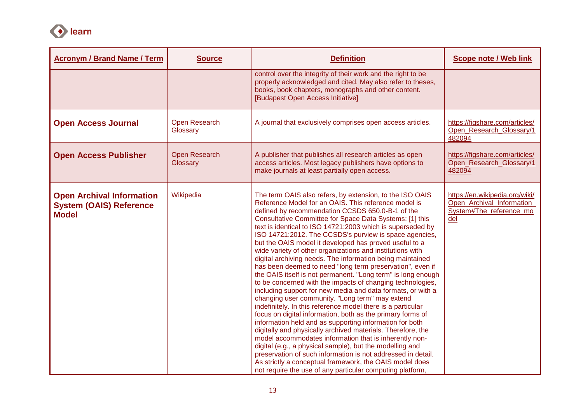

| <b>Acronym / Brand Name / Term</b>                                                 | <b>Source</b>                    | <b>Definition</b>                                                                                                                                                                                                                                                                                                                                                                                                                                                                                                                                                                                                                                                                                                                                                                                                                                                                                                                                                                                                                                                                                                                                                                                                                                                                                                                                                                                                             | <b>Scope note / Web link</b>                                                                  |
|------------------------------------------------------------------------------------|----------------------------------|-------------------------------------------------------------------------------------------------------------------------------------------------------------------------------------------------------------------------------------------------------------------------------------------------------------------------------------------------------------------------------------------------------------------------------------------------------------------------------------------------------------------------------------------------------------------------------------------------------------------------------------------------------------------------------------------------------------------------------------------------------------------------------------------------------------------------------------------------------------------------------------------------------------------------------------------------------------------------------------------------------------------------------------------------------------------------------------------------------------------------------------------------------------------------------------------------------------------------------------------------------------------------------------------------------------------------------------------------------------------------------------------------------------------------------|-----------------------------------------------------------------------------------------------|
|                                                                                    |                                  | control over the integrity of their work and the right to be<br>properly acknowledged and cited. May also refer to theses,<br>books, book chapters, monographs and other content.<br>[Budapest Open Access Initiative]                                                                                                                                                                                                                                                                                                                                                                                                                                                                                                                                                                                                                                                                                                                                                                                                                                                                                                                                                                                                                                                                                                                                                                                                        |                                                                                               |
| <b>Open Access Journal</b>                                                         | Open Research<br>Glossary        | A journal that exclusively comprises open access articles.                                                                                                                                                                                                                                                                                                                                                                                                                                                                                                                                                                                                                                                                                                                                                                                                                                                                                                                                                                                                                                                                                                                                                                                                                                                                                                                                                                    | https://figshare.com/articles/<br>Open Research Glossary/1<br>482094                          |
| <b>Open Access Publisher</b>                                                       | <b>Open Research</b><br>Glossary | A publisher that publishes all research articles as open<br>access articles. Most legacy publishers have options to<br>make journals at least partially open access.                                                                                                                                                                                                                                                                                                                                                                                                                                                                                                                                                                                                                                                                                                                                                                                                                                                                                                                                                                                                                                                                                                                                                                                                                                                          | https://figshare.com/articles/<br>Open Research Glossary/1<br>482094                          |
| <b>Open Archival Information</b><br><b>System (OAIS) Reference</b><br><b>Model</b> | Wikipedia                        | The term OAIS also refers, by extension, to the ISO OAIS<br>Reference Model for an OAIS. This reference model is<br>defined by recommendation CCSDS 650.0-B-1 of the<br>Consultative Committee for Space Data Systems; [1] this<br>text is identical to ISO 14721:2003 which is superseded by<br>ISO 14721:2012. The CCSDS's purview is space agencies,<br>but the OAIS model it developed has proved useful to a<br>wide variety of other organizations and institutions with<br>digital archiving needs. The information being maintained<br>has been deemed to need "long term preservation", even if<br>the OAIS itself is not permanent. "Long term" is long enough<br>to be concerned with the impacts of changing technologies,<br>including support for new media and data formats, or with a<br>changing user community. "Long term" may extend<br>indefinitely. In this reference model there is a particular<br>focus on digital information, both as the primary forms of<br>information held and as supporting information for both<br>digitally and physically archived materials. Therefore, the<br>model accommodates information that is inherently non-<br>digital (e.g., a physical sample), but the modelling and<br>preservation of such information is not addressed in detail.<br>As strictly a conceptual framework, the OAIS model does<br>not require the use of any particular computing platform, | https://en.wikipedia.org/wiki/<br>Open Archival Information<br>System#The reference mo<br>del |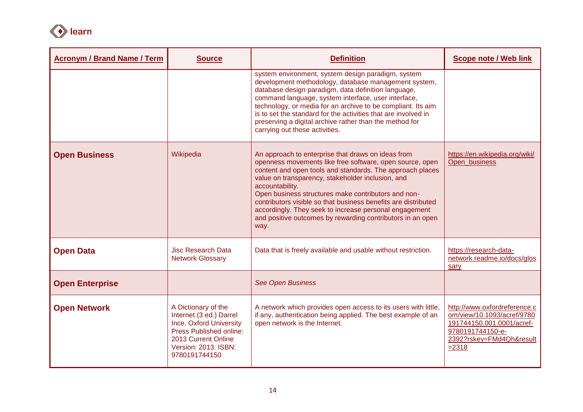

| <b>Acronym / Brand Name / Term</b> | <b>Source</b>                                                                                                                                                                      | <b>Definition</b>                                                                                                                                                                                                                                                                                                                                                                                                                                                                                            | <b>Scope note / Web link</b>                                                                                                                        |
|------------------------------------|------------------------------------------------------------------------------------------------------------------------------------------------------------------------------------|--------------------------------------------------------------------------------------------------------------------------------------------------------------------------------------------------------------------------------------------------------------------------------------------------------------------------------------------------------------------------------------------------------------------------------------------------------------------------------------------------------------|-----------------------------------------------------------------------------------------------------------------------------------------------------|
|                                    |                                                                                                                                                                                    | system environment, system design paradigm, system<br>development methodology, database management system,<br>database design paradigm, data definition language,<br>command language, system interface, user interface,<br>technology, or media for an archive to be compliant. Its aim<br>is to set the standard for the activities that are involved in<br>preserving a digital archive rather than the method for<br>carrying out those activities.                                                      |                                                                                                                                                     |
| <b>Open Business</b>               | Wikipedia                                                                                                                                                                          | An approach to enterprise that draws on ideas from<br>openness movements like free software, open source, open<br>content and open tools and standards. The approach places<br>value on transparency, stakeholder inclusion, and<br>accountability.<br>Open business structures make contributors and non-<br>contributors visible so that business benefits are distributed<br>accordingly. They seek to increase personal engagement<br>and positive outcomes by rewarding contributors in an open<br>way. | https://en.wikipedia.org/wiki/<br>Open business                                                                                                     |
| <b>Open Data</b>                   | Jisc Research Data<br><b>Network Glossary</b>                                                                                                                                      | Data that is freely available and usable without restriction.                                                                                                                                                                                                                                                                                                                                                                                                                                                | https://research-data-<br>network.readme.io/docs/glos<br>sary                                                                                       |
| <b>Open Enterprise</b>             |                                                                                                                                                                                    | <b>See Open Business</b>                                                                                                                                                                                                                                                                                                                                                                                                                                                                                     |                                                                                                                                                     |
| <b>Open Network</b>                | A Dictionary of the<br>Internet (3 ed.) Darrel<br><b>Ince. Oxford University</b><br><b>Press Published online:</b><br>2013 Current Online<br>Version: 2013. ISBN:<br>9780191744150 | A network which provides open access to its users with little,<br>if any, authentication being applied. The best example of an<br>open network is the Internet.                                                                                                                                                                                                                                                                                                                                              | http://www.oxfordreference.c<br>om/view/10.1093/acref/9780<br>191744150.001.0001/acref-<br>9780191744150-e-<br>2392?rskey=FMd4Qh&result<br>$= 2318$ |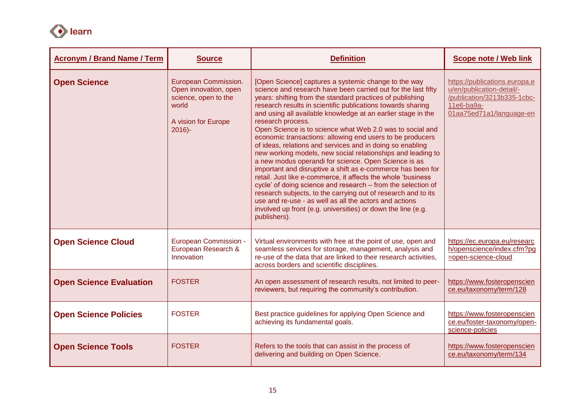

| <b>Acronym / Brand Name / Term</b> | <b>Source</b>                                                                                                     | <b>Definition</b>                                                                                                                                                                                                                                                                                                                                                                                                                                                                                                                                                                                                                                                                                                                                                                                                                                                                                                                                                                                                                                              | <b>Scope note / Web link</b>                                                                                                        |
|------------------------------------|-------------------------------------------------------------------------------------------------------------------|----------------------------------------------------------------------------------------------------------------------------------------------------------------------------------------------------------------------------------------------------------------------------------------------------------------------------------------------------------------------------------------------------------------------------------------------------------------------------------------------------------------------------------------------------------------------------------------------------------------------------------------------------------------------------------------------------------------------------------------------------------------------------------------------------------------------------------------------------------------------------------------------------------------------------------------------------------------------------------------------------------------------------------------------------------------|-------------------------------------------------------------------------------------------------------------------------------------|
| <b>Open Science</b>                | European Commission.<br>Open innovation, open<br>science, open to the<br>world<br>A vision for Europe<br>$2016$ - | [Open Science] captures a systemic change to the way<br>science and research have been carried out for the last fifty<br>years: shifting from the standard practices of publishing<br>research results in scientific publications towards sharing<br>and using all available knowledge at an earlier stage in the<br>research process.<br>Open Science is to science what Web 2.0 was to social and<br>economic transactions: allowing end users to be producers<br>of ideas, relations and services and in doing so enabling<br>new working models, new social relationships and leading to<br>a new modus operandi for science. Open Science is as<br>important and disruptive a shift as e-commerce has been for<br>retail. Just like e-commerce, it affects the whole 'business<br>cycle' of doing science and research - from the selection of<br>research subjects, to the carrying out of research and to its<br>use and re-use - as well as all the actors and actions<br>involved up front (e.g. universities) or down the line (e.g.<br>publishers). | https://publications.europa.e<br>u/en/publication-detail/-<br>/publication/3213b335-1cbc-<br>11e6-ba9a-<br>01aa75ed71a1/language-en |
| <b>Open Science Cloud</b>          | <b>European Commission -</b><br>European Research &<br>Innovation                                                 | Virtual environments with free at the point of use, open and<br>seamless services for storage, management, analysis and<br>re-use of the data that are linked to their research activities,<br>across borders and scientific disciplines.                                                                                                                                                                                                                                                                                                                                                                                                                                                                                                                                                                                                                                                                                                                                                                                                                      | https://ec.europa.eu/researc<br>h/openscience/index.cfm?pg<br>=open-science-cloud                                                   |
| <b>Open Science Evaluation</b>     | <b>FOSTER</b>                                                                                                     | An open assessment of research results, not limited to peer-<br>reviewers, but requiring the community's contribution.                                                                                                                                                                                                                                                                                                                                                                                                                                                                                                                                                                                                                                                                                                                                                                                                                                                                                                                                         | https://www.fosteropenscien<br>ce.eu/taxonomy/term/128                                                                              |
| <b>Open Science Policies</b>       | <b>FOSTER</b>                                                                                                     | Best practice guidelines for applying Open Science and<br>achieving its fundamental goals.                                                                                                                                                                                                                                                                                                                                                                                                                                                                                                                                                                                                                                                                                                                                                                                                                                                                                                                                                                     | https://www.fosteropenscien<br>ce.eu/foster-taxonomy/open-<br>science-policies                                                      |
| <b>Open Science Tools</b>          | <b>FOSTER</b>                                                                                                     | Refers to the tools that can assist in the process of<br>delivering and building on Open Science.                                                                                                                                                                                                                                                                                                                                                                                                                                                                                                                                                                                                                                                                                                                                                                                                                                                                                                                                                              | https://www.fosteropenscien<br>ce.eu/taxonomy/term/134                                                                              |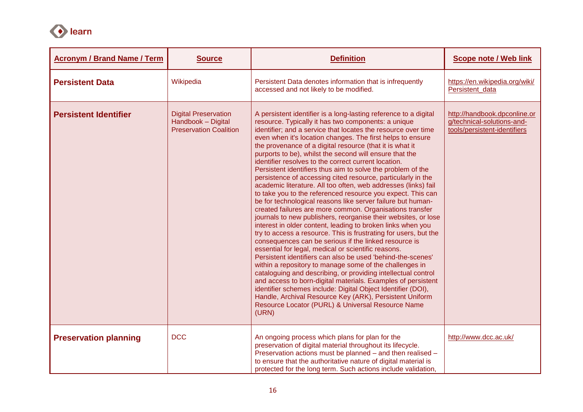

| <b>Acronym / Brand Name / Term</b> | <b>Source</b>                                                                      | <b>Definition</b>                                                                                                                                                                                                                                                                                                                                                                                                                                                                                                                                                                                                                                                                                                                                                                                                                                                                                                                                                                                                                                                                                                                                                                                                                                                                                                                                                                                                                                                                                                                                                                                         | <b>Scope note / Web link</b>                                                               |
|------------------------------------|------------------------------------------------------------------------------------|-----------------------------------------------------------------------------------------------------------------------------------------------------------------------------------------------------------------------------------------------------------------------------------------------------------------------------------------------------------------------------------------------------------------------------------------------------------------------------------------------------------------------------------------------------------------------------------------------------------------------------------------------------------------------------------------------------------------------------------------------------------------------------------------------------------------------------------------------------------------------------------------------------------------------------------------------------------------------------------------------------------------------------------------------------------------------------------------------------------------------------------------------------------------------------------------------------------------------------------------------------------------------------------------------------------------------------------------------------------------------------------------------------------------------------------------------------------------------------------------------------------------------------------------------------------------------------------------------------------|--------------------------------------------------------------------------------------------|
| <b>Persistent Data</b>             | Wikipedia                                                                          | Persistent Data denotes information that is infrequently<br>accessed and not likely to be modified.                                                                                                                                                                                                                                                                                                                                                                                                                                                                                                                                                                                                                                                                                                                                                                                                                                                                                                                                                                                                                                                                                                                                                                                                                                                                                                                                                                                                                                                                                                       | https://en.wikipedia.org/wiki/<br>Persistent data                                          |
| <b>Persistent Identifier</b>       | <b>Digital Preservation</b><br>Handbook - Digital<br><b>Preservation Coalition</b> | A persistent identifier is a long-lasting reference to a digital<br>resource. Typically it has two components: a unique<br>identifier; and a service that locates the resource over time<br>even when it's location changes. The first helps to ensure<br>the provenance of a digital resource (that it is what it<br>purports to be), whilst the second will ensure that the<br>identifier resolves to the correct current location.<br>Persistent identifiers thus aim to solve the problem of the<br>persistence of accessing cited resource, particularly in the<br>academic literature. All too often, web addresses (links) fail<br>to take you to the referenced resource you expect. This can<br>be for technological reasons like server failure but human-<br>created failures are more common. Organisations transfer<br>journals to new publishers, reorganise their websites, or lose<br>interest in older content, leading to broken links when you<br>try to access a resource. This is frustrating for users, but the<br>consequences can be serious if the linked resource is<br>essential for legal, medical or scientific reasons.<br>Persistent identifiers can also be used 'behind-the-scenes'<br>within a repository to manage some of the challenges in<br>cataloguing and describing, or providing intellectual control<br>and access to born-digital materials. Examples of persistent<br>identifier schemes include: Digital Object Identifier (DOI),<br>Handle, Archival Resource Key (ARK), Persistent Uniform<br>Resource Locator (PURL) & Universal Resource Name<br>(URN) | http://handbook.dpconline.or<br>g/technical-solutions-and-<br>tools/persistent-identifiers |
| <b>Preservation planning</b>       | <b>DCC</b>                                                                         | An ongoing process which plans for plan for the<br>preservation of digital material throughout its lifecycle.<br>Preservation actions must be planned - and then realised -<br>to ensure that the authoritative nature of digital material is<br>protected for the long term. Such actions include validation,                                                                                                                                                                                                                                                                                                                                                                                                                                                                                                                                                                                                                                                                                                                                                                                                                                                                                                                                                                                                                                                                                                                                                                                                                                                                                            | http://www.dcc.ac.uk/                                                                      |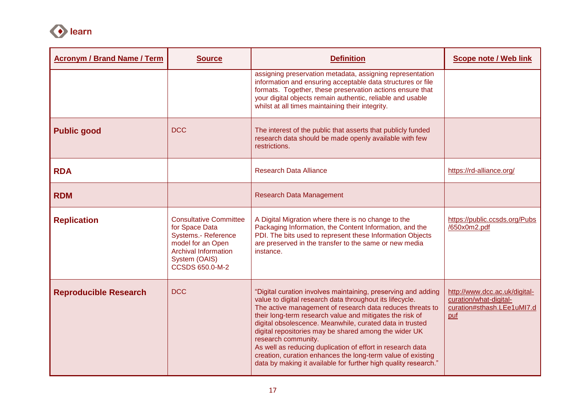

| <b>Acronym / Brand Name / Term</b> | <b>Source</b>                                                                                                                                                         | <b>Definition</b>                                                                                                                                                                                                                                                                                                                                                                                                                                                                                                                                                                              | <b>Scope note / Web link</b>                                                                 |
|------------------------------------|-----------------------------------------------------------------------------------------------------------------------------------------------------------------------|------------------------------------------------------------------------------------------------------------------------------------------------------------------------------------------------------------------------------------------------------------------------------------------------------------------------------------------------------------------------------------------------------------------------------------------------------------------------------------------------------------------------------------------------------------------------------------------------|----------------------------------------------------------------------------------------------|
|                                    |                                                                                                                                                                       | assigning preservation metadata, assigning representation<br>information and ensuring acceptable data structures or file<br>formats. Together, these preservation actions ensure that<br>your digital objects remain authentic, reliable and usable<br>whilst at all times maintaining their integrity.                                                                                                                                                                                                                                                                                        |                                                                                              |
| <b>Public good</b>                 | <b>DCC</b>                                                                                                                                                            | The interest of the public that asserts that publicly funded<br>research data should be made openly available with few<br>restrictions.                                                                                                                                                                                                                                                                                                                                                                                                                                                        |                                                                                              |
| <b>RDA</b>                         |                                                                                                                                                                       | <b>Research Data Alliance</b>                                                                                                                                                                                                                                                                                                                                                                                                                                                                                                                                                                  | https://rd-alliance.org/                                                                     |
| <b>RDM</b>                         |                                                                                                                                                                       | <b>Research Data Management</b>                                                                                                                                                                                                                                                                                                                                                                                                                                                                                                                                                                |                                                                                              |
| <b>Replication</b>                 | <b>Consultative Committee</b><br>for Space Data<br><b>Systems.- Reference</b><br>model for an Open<br><b>Archival Information</b><br>System (OAIS)<br>CCSDS 650.0-M-2 | A Digital Migration where there is no change to the<br>Packaging Information, the Content Information, and the<br>PDI. The bits used to represent these Information Objects<br>are preserved in the transfer to the same or new media<br>instance.                                                                                                                                                                                                                                                                                                                                             | https://public.ccsds.org/Pubs<br>/650x0m2.pdf                                                |
| <b>Reproducible Research</b>       | <b>DCC</b>                                                                                                                                                            | "Digital curation involves maintaining, preserving and adding<br>value to digital research data throughout its lifecycle.<br>The active management of research data reduces threats to<br>their long-term research value and mitigates the risk of<br>digital obsolescence. Meanwhile, curated data in trusted<br>digital repositories may be shared among the wider UK<br>research community.<br>As well as reducing duplication of effort in research data<br>creation, curation enhances the long-term value of existing<br>data by making it available for further high quality research." | http://www.dcc.ac.uk/digital-<br>curation/what-digital-<br>curation#sthash.LEe1uMI7.d<br>puf |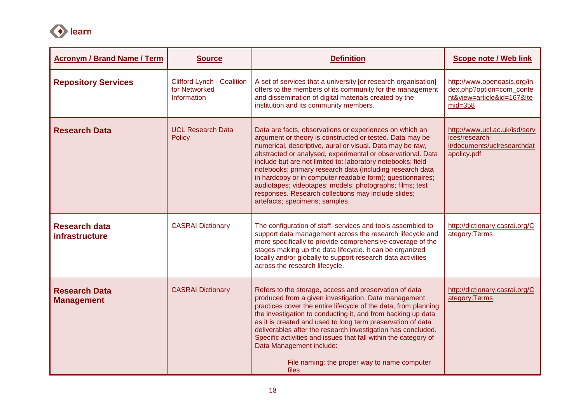

| <b>Acronym / Brand Name / Term</b>        | <b>Source</b>                                                            | <b>Definition</b>                                                                                                                                                                                                                                                                                                                                                                                                                                                                                                                                                                              | <b>Scope note / Web link</b>                                                                       |
|-------------------------------------------|--------------------------------------------------------------------------|------------------------------------------------------------------------------------------------------------------------------------------------------------------------------------------------------------------------------------------------------------------------------------------------------------------------------------------------------------------------------------------------------------------------------------------------------------------------------------------------------------------------------------------------------------------------------------------------|----------------------------------------------------------------------------------------------------|
| <b>Repository Services</b>                | <b>Clifford Lynch - Coalition</b><br>for Networked<br><b>Information</b> | A set of services that a university [or research organisation]<br>offers to the members of its community for the management<br>and dissemination of digital materials created by the<br>institution and its community members.                                                                                                                                                                                                                                                                                                                                                                 | http://www.openoasis.org/in<br>dex.php?option=com_conte<br>nt&view=article&id=167&Ite<br>$mid=358$ |
| <b>Research Data</b>                      | <b>UCL Research Data</b><br>Policy                                       | Data are facts, observations or experiences on which an<br>argument or theory is constructed or tested. Data may be<br>numerical, descriptive, aural or visual. Data may be raw,<br>abstracted or analysed, experimental or observational. Data<br>include but are not limited to: laboratory notebooks; field<br>notebooks; primary research data (including research data<br>in hardcopy or in computer readable form); questionnaires;<br>audiotapes; videotapes; models; photographs; films; test<br>responses. Research collections may include slides;<br>artefacts; specimens; samples. | http://www.ucl.ac.uk/isd/serv<br>ices/research-<br>it/documents/uclresearchdat<br>apolicy.pdf      |
| <b>Research data</b><br>infrastructure    | <b>CASRAI Dictionary</b>                                                 | The configuration of staff, services and tools assembled to<br>support data management across the research lifecycle and<br>more specifically to provide comprehensive coverage of the<br>stages making up the data lifecycle. It can be organized<br>locally and/or globally to support research data activities<br>across the research lifecycle.                                                                                                                                                                                                                                            | http://dictionary.casrai.org/C<br>ategory:Terms                                                    |
| <b>Research Data</b><br><b>Management</b> | <b>CASRAI Dictionary</b>                                                 | Refers to the storage, access and preservation of data<br>produced from a given investigation. Data management<br>practices cover the entire lifecycle of the data, from planning<br>the investigation to conducting it, and from backing up data<br>as it is created and used to long term preservation of data<br>deliverables after the research investigation has concluded.<br>Specific activities and issues that fall within the category of<br>Data Management include:<br>File naming: the proper way to name computer<br>files                                                       | http://dictionary.casrai.org/C<br>ategory:Terms                                                    |